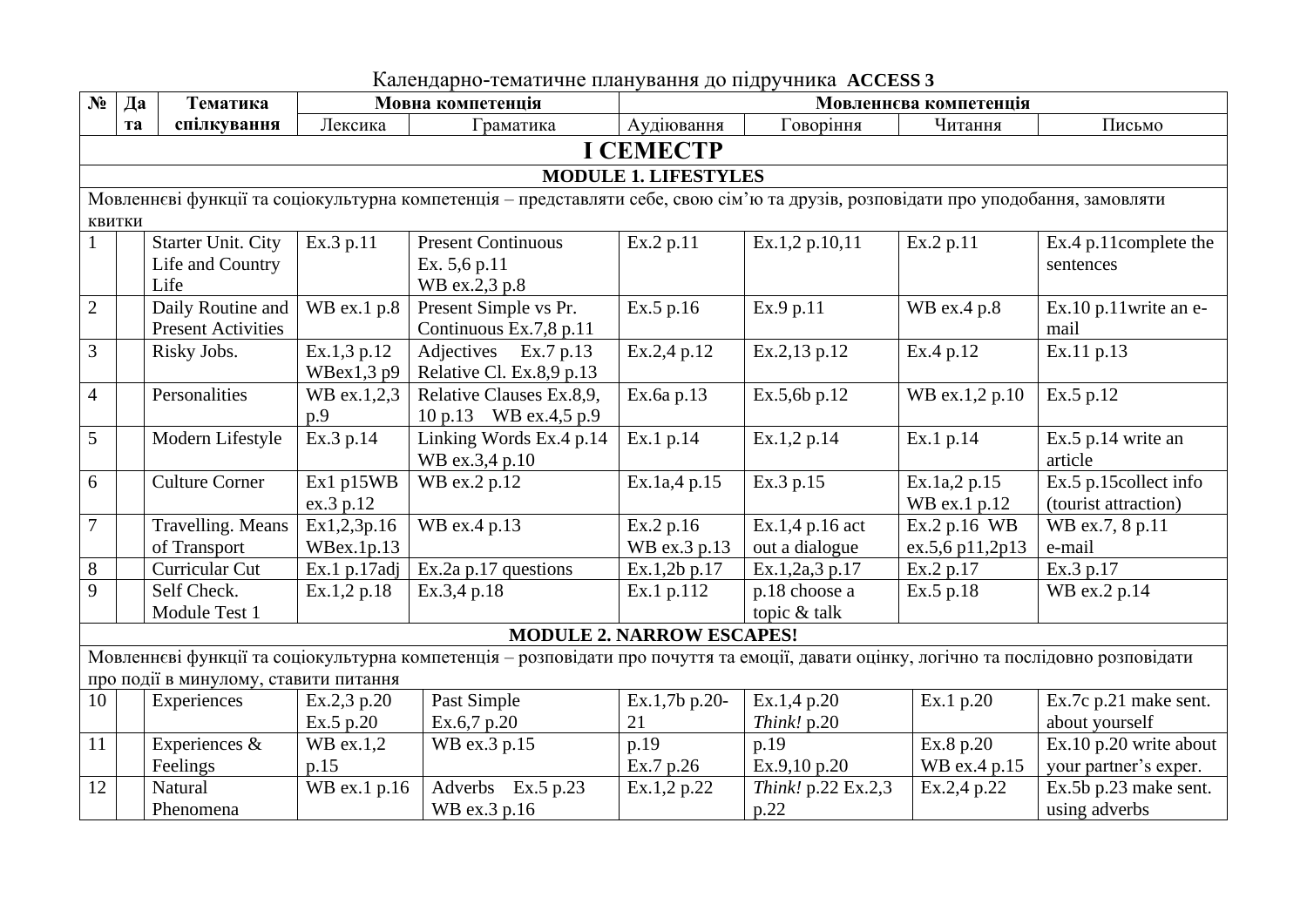| $N_2$          | Да                                                                                                                                | Тематика                              |               | Мовна компетенція                                                                                                                      | Мовленнєва компетенція           |                    |                 |                          |  |  |  |
|----------------|-----------------------------------------------------------------------------------------------------------------------------------|---------------------------------------|---------------|----------------------------------------------------------------------------------------------------------------------------------------|----------------------------------|--------------------|-----------------|--------------------------|--|--|--|
|                | Ta                                                                                                                                | спілкування                           | Лексика       | Граматика                                                                                                                              | Аудіювання                       | Говоріння          | Читання         | Письмо                   |  |  |  |
|                | <b>I CEMECTP</b>                                                                                                                  |                                       |               |                                                                                                                                        |                                  |                    |                 |                          |  |  |  |
|                | <b>MODULE 1. LIFESTYLES</b>                                                                                                       |                                       |               |                                                                                                                                        |                                  |                    |                 |                          |  |  |  |
|                | Мовленнєві функції та соціокультурна компетенція – представляти себе, свою сім'ю та друзів, розповідати про уподобання, замовляти |                                       |               |                                                                                                                                        |                                  |                    |                 |                          |  |  |  |
|                | <b>КВИТКИ</b>                                                                                                                     |                                       |               |                                                                                                                                        |                                  |                    |                 |                          |  |  |  |
|                |                                                                                                                                   | <b>Starter Unit. City</b>             | Ex.3 p.11     | <b>Present Continuous</b>                                                                                                              | Ex.2 p.11                        | Ex.1,2 p.10,11     | Ex.2 p.11       | Ex.4 p.11complete the    |  |  |  |
|                |                                                                                                                                   | Life and Country                      |               | Ex. 5,6 p.11                                                                                                                           |                                  |                    |                 | sentences                |  |  |  |
|                |                                                                                                                                   | Life                                  |               | WB ex.2,3 p.8                                                                                                                          |                                  |                    |                 |                          |  |  |  |
| $\overline{2}$ |                                                                                                                                   | Daily Routine and                     | WB ex.1 p.8   | Present Simple vs Pr.                                                                                                                  | Ex.5 p.16                        | Ex.9 p.11          | WB ex.4 p.8     | $Ex.10$ p.11 write an e- |  |  |  |
|                |                                                                                                                                   | <b>Present Activities</b>             |               | Continuous Ex.7,8 p.11                                                                                                                 |                                  |                    |                 | mail                     |  |  |  |
| 3              |                                                                                                                                   | Risky Jobs.                           | Ex.1,3 p.12   | Adjectives Ex.7 p.13                                                                                                                   | Ex.2,4 p.12                      | Ex.2,13 p.12       | Ex.4 p.12       | Ex.11 p.13               |  |  |  |
|                |                                                                                                                                   |                                       | $W$ Bex1,3 p9 | Relative Cl. Ex.8,9 p.13                                                                                                               |                                  |                    |                 |                          |  |  |  |
| $\overline{4}$ |                                                                                                                                   | Personalities                         | WB ex.1,2,3   | Relative Clauses Ex.8,9,                                                                                                               | Ex.6a p.13                       | Ex.5,6b p.12       | WB ex.1,2 p.10  | Ex.5 p.12                |  |  |  |
|                |                                                                                                                                   |                                       | p.9           | 10 p.13 WB ex.4,5 p.9                                                                                                                  |                                  |                    |                 |                          |  |  |  |
| 5              |                                                                                                                                   | Modern Lifestyle                      | Ex.3 p.14     | Linking Words Ex.4 p.14                                                                                                                | Ex.1 p.14                        | Ex.1,2 p.14        | Ex.1 p.14       | Ex.5 p.14 write an       |  |  |  |
|                |                                                                                                                                   |                                       |               | WB ex.3,4 p.10                                                                                                                         |                                  |                    |                 | article                  |  |  |  |
| 6              |                                                                                                                                   | <b>Culture Corner</b>                 | Ex1 p15WB     | WB ex.2 p.12                                                                                                                           | $\overline{Ex}.1a,4p.15$         | Ex.3 p.15          | Ex.1a,2 p.15    | Ex.5 p.15collect info    |  |  |  |
|                |                                                                                                                                   |                                       | ex.3 p.12     |                                                                                                                                        |                                  |                    | WB ex.1 p.12    | (tourist attraction)     |  |  |  |
| $\overline{7}$ |                                                                                                                                   | Travelling. Means                     | Ex1,2,3p.16   | WB ex.4 p.13                                                                                                                           | Ex.2 p.16                        | Ex.1,4 p.16 act    | Ex.2 p.16 WB    | WB ex.7, 8 p.11          |  |  |  |
|                |                                                                                                                                   | of Transport                          | WBex.1p.13    |                                                                                                                                        | WB ex.3 p.13                     | out a dialogue     | ex.5,6 p11,2p13 | e-mail                   |  |  |  |
| $8\,$          |                                                                                                                                   | Curricular Cut                        | Ex.1 p.17adj  | $Ex.2a$ p.17 questions                                                                                                                 | Ex.1,2b p.17                     | Ex.1,2a,3 p.17     | Ex.2 p.17       | Ex.3 p.17                |  |  |  |
| 9              |                                                                                                                                   | Self Check.                           | Ex.1,2 p.18   | Ex.3,4 p.18                                                                                                                            | Ex.1 p.112                       | p.18 choose a      | Ex.5 p.18       | WB ex.2 p.14             |  |  |  |
|                |                                                                                                                                   | Module Test 1                         |               |                                                                                                                                        |                                  | topic & talk       |                 |                          |  |  |  |
|                |                                                                                                                                   |                                       |               |                                                                                                                                        | <b>MODULE 2. NARROW ESCAPES!</b> |                    |                 |                          |  |  |  |
|                |                                                                                                                                   |                                       |               | Мовленнєві функції та соціокультурна компетенція - розповідати про почуття та емоції, давати оцінку, логічно та послідовно розповідати |                                  |                    |                 |                          |  |  |  |
|                |                                                                                                                                   | про події в минулому, ставити питання |               |                                                                                                                                        |                                  |                    |                 |                          |  |  |  |
| 10             |                                                                                                                                   | Experiences                           | Ex.2,3 p.20   | Past Simple                                                                                                                            | Ex.1,7b p.20-                    | Ex.1,4 p.20        | Ex.1 p.20       | Ex.7c p.21 make sent.    |  |  |  |
|                |                                                                                                                                   |                                       | Ex.5 p.20     | Ex.6,7 p.20                                                                                                                            | 21                               | Think! p.20        |                 | about yourself           |  |  |  |
| 11             |                                                                                                                                   | Experiences &                         | $WB$ ex.1,2   | WB ex.3 p.15                                                                                                                           | p.19                             | p.19               | Ex.8 p.20       | Ex.10 p.20 write about   |  |  |  |
|                |                                                                                                                                   | Feelings                              | p.15          |                                                                                                                                        | Ex.7 p.26                        | Ex.9,10 p.20       | WB ex.4 p.15    | your partner's exper.    |  |  |  |
| 12             |                                                                                                                                   | Natural                               | WB ex.1 p.16  | Adverbs Ex.5 p.23                                                                                                                      | Ex.1,2 p.22                      | Think! p.22 Ex.2,3 | Ex.2,4 p.22     | Ex.5b p.23 make sent.    |  |  |  |
|                |                                                                                                                                   | Phenomena                             |               | WB ex.3 p.16                                                                                                                           |                                  | p.22               |                 | using adverbs            |  |  |  |

Календарно-тематичне планування до підручника **ACCESS 3**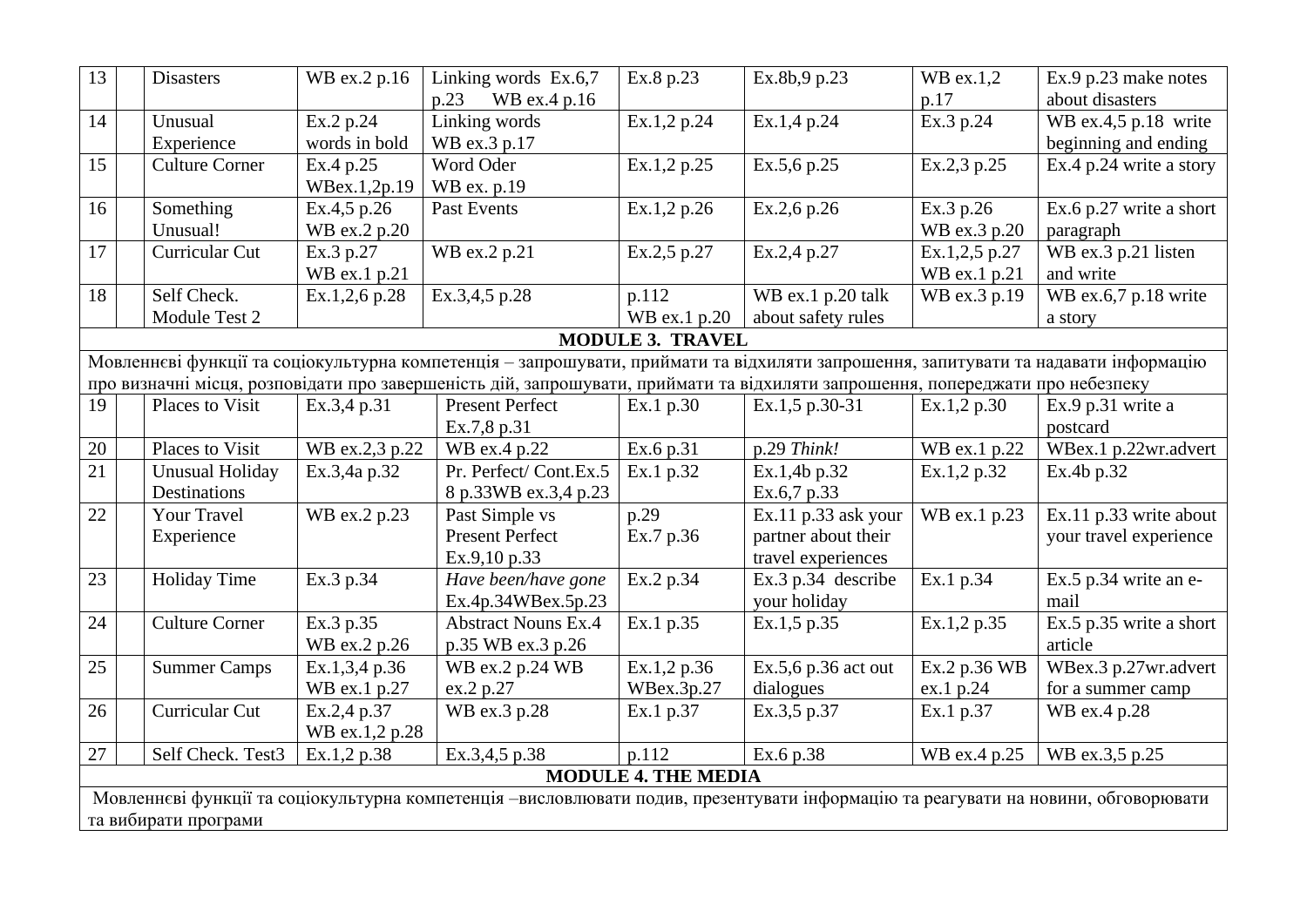| 13                                                                                                                                 | <b>Disasters</b>       | WB ex.2 p.16   | Linking words Ex.6,7                                                                                                                | Ex.8 p.23                  | Ex.8b,9 p.23        | $WB$ ex.1,2   | Ex.9 p.23 make notes    |
|------------------------------------------------------------------------------------------------------------------------------------|------------------------|----------------|-------------------------------------------------------------------------------------------------------------------------------------|----------------------------|---------------------|---------------|-------------------------|
|                                                                                                                                    |                        |                | p.23 WB ex.4 p.16                                                                                                                   |                            |                     | p.17          | about disasters         |
| 14                                                                                                                                 | Unusual                | Ex.2 p.24      | Linking words                                                                                                                       | Ex.1,2 p.24                | Ex.1,4 p.24         | Ex.3 p.24     | WB ex.4,5 p.18 write    |
|                                                                                                                                    | Experience             | words in bold  | WB ex.3 p.17                                                                                                                        |                            |                     |               | beginning and ending    |
| 15                                                                                                                                 | <b>Culture Corner</b>  | Ex.4 p.25      | Word Oder                                                                                                                           | Ex.1,2 p.25                | Ex.5,6 p.25         | Ex.2,3 p.25   | Ex.4 p.24 write a story |
|                                                                                                                                    |                        | WBex.1,2p.19   | WB ex. p.19                                                                                                                         |                            |                     |               |                         |
| 16                                                                                                                                 | Something              | Ex.4,5 p.26    | Past Events                                                                                                                         | Ex.1,2 p.26                | Ex.2,6 p.26         | Ex.3 p.26     | Ex.6 p.27 write a short |
|                                                                                                                                    | Unusual!               | WB ex.2 p.20   |                                                                                                                                     |                            |                     | WB ex.3 p.20  | paragraph               |
| 17                                                                                                                                 | Curricular Cut         | Ex.3 p.27      | WB ex.2 p.21                                                                                                                        | Ex.2,5 p.27                | Ex.2,4 p.27         | Ex.1,2,5 p.27 | WB ex.3 p.21 listen     |
|                                                                                                                                    |                        | WB ex.1 p.21   |                                                                                                                                     |                            |                     | WB ex.1 p.21  | and write               |
| 18                                                                                                                                 | Self Check.            | Ex.1,2,6 p.28  | Ex.3,4,5 p.28                                                                                                                       | p.112                      | WB ex.1 p.20 talk   | WB ex.3 p.19  | WB ex.6,7 p.18 write    |
|                                                                                                                                    | Module Test 2          |                |                                                                                                                                     | WB ex.1 p.20               | about safety rules  |               | a story                 |
|                                                                                                                                    |                        |                |                                                                                                                                     | <b>MODULE 3. TRAVEL</b>    |                     |               |                         |
|                                                                                                                                    |                        |                | Мовленнєві функції та соціокультурна компетенція - запрошувати, приймати та відхиляти запрошення, запитувати та надавати інформацію |                            |                     |               |                         |
|                                                                                                                                    |                        |                | про визначні місця, розповідати про завершеність дій, запрошувати, приймати та відхиляти запрошення, попереджати про небезпеку      |                            |                     |               |                         |
| 19                                                                                                                                 | Places to Visit        | Ex.3,4 p.31    | Present Perfect                                                                                                                     | Ex.1 p.30                  | Ex.1,5 p.30-31      | Ex.1,2 p.30   | Ex.9 p.31 write a       |
|                                                                                                                                    |                        |                | Ex.7,8 p.31                                                                                                                         |                            |                     |               | postcard                |
| $20\,$                                                                                                                             | Places to Visit        | WB ex.2,3 p.22 | WB ex.4 p.22                                                                                                                        | Ex.6 p.31                  | p.29 Think!         | WB ex.1 p.22  | WBex.1 p.22wr.advert    |
| 21                                                                                                                                 | <b>Unusual Holiday</b> | Ex.3,4a p.32   | Pr. Perfect/Cont.Ex.5                                                                                                               | Ex.1 p.32                  | Ex.1,4b p.32        | Ex.1,2 p.32   | Ex.4b p.32              |
|                                                                                                                                    | Destinations           |                | 8 p.33WB ex.3,4 p.23                                                                                                                |                            | Ex.6,7 p.33         |               |                         |
| 22                                                                                                                                 | Your Travel            | WB ex.2 p.23   | Past Simple vs                                                                                                                      | p.29                       | Ex.11 p.33 ask your | WB ex.1 p.23  | Ex.11 p.33 write about  |
|                                                                                                                                    | Experience             |                | <b>Present Perfect</b>                                                                                                              | Ex.7 p.36                  | partner about their |               | your travel experience  |
|                                                                                                                                    |                        |                | Ex.9,10 p.33                                                                                                                        |                            | travel experiences  |               |                         |
| 23                                                                                                                                 | <b>Holiday Time</b>    | Ex.3 p.34      | Have been/have gone                                                                                                                 | Ex.2 p.34                  | Ex.3 p.34 describe  | Ex.1 p.34     | Ex.5 p.34 write an e-   |
|                                                                                                                                    |                        |                | Ex.4p.34WBex.5p.23                                                                                                                  |                            | your holiday        |               | mail                    |
| 24                                                                                                                                 | <b>Culture Corner</b>  | Ex.3 p.35      | <b>Abstract Nouns Ex.4</b>                                                                                                          | $\overline{Ex}.1 p.35$     | Ex.1, 5 p.35        | Ex.1,2 p.35   | Ex.5 p.35 write a short |
|                                                                                                                                    |                        | WB ex.2 p.26   | p.35 WB ex.3 p.26                                                                                                                   |                            |                     |               | article                 |
| 25                                                                                                                                 | <b>Summer Camps</b>    | Ex.1,3,4 p.36  | WB ex.2 p.24 WB                                                                                                                     | Ex.1,2 p.36                | Ex.5,6 p.36 act out | Ex.2 p.36 WB  | WBex.3 p.27wr.advert    |
|                                                                                                                                    |                        | WB ex.1 p.27   | ex.2 p.27                                                                                                                           | WBex.3p.27                 | dialogues           | ex.1 p.24     | for a summer camp       |
| 26                                                                                                                                 | Curricular Cut         | Ex.2,4 p.37    | WB ex.3 p.28                                                                                                                        | Ex.1 p.37                  | Ex.3,5 p.37         | Ex.1 p.37     | WB ex.4 p.28            |
|                                                                                                                                    |                        | WB ex.1,2 p.28 |                                                                                                                                     |                            |                     |               |                         |
| 27                                                                                                                                 | Self Check. Test3      | Ex.1,2 p.38    | Ex.3,4,5 p.38                                                                                                                       | p.112                      | Ex.6 p.38           | WB ex.4 p.25  | WB ex.3,5 p.25          |
|                                                                                                                                    |                        |                |                                                                                                                                     | <b>MODULE 4. THE MEDIA</b> |                     |               |                         |
| Мовленнєві функції та соціокультурна компетенція -висловлювати подив, презентувати інформацію та реагувати на новини, обговорювати |                        |                |                                                                                                                                     |                            |                     |               |                         |
| та вибирати програми                                                                                                               |                        |                |                                                                                                                                     |                            |                     |               |                         |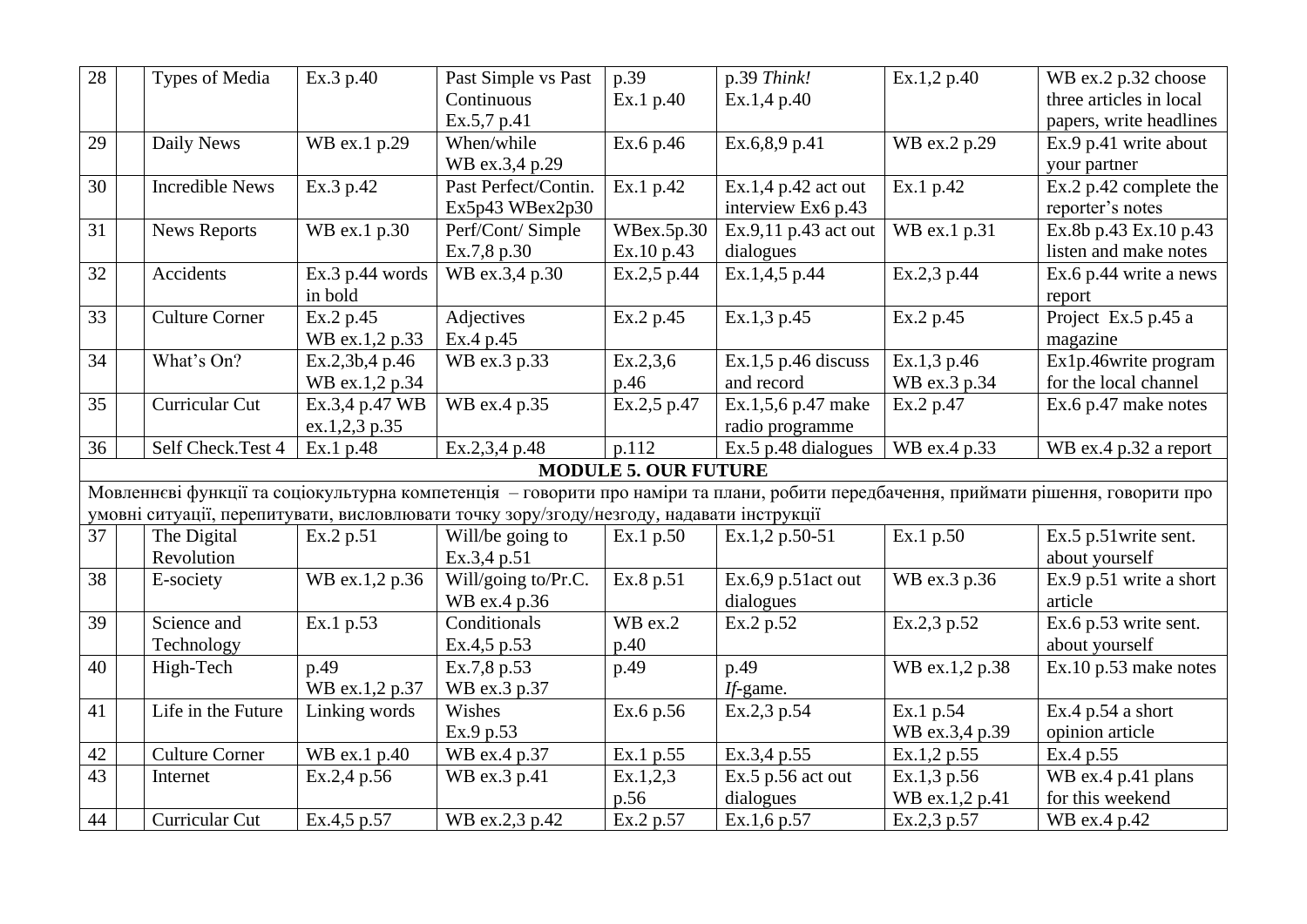| 28 | Types of Media         | Ex.3 p.40         | Past Simple vs Past                                                                       | p.39                        | p.39 Think!           | Ex.1,2 p.40    | WB ex.2 p.32 choose                                                                                                                  |
|----|------------------------|-------------------|-------------------------------------------------------------------------------------------|-----------------------------|-----------------------|----------------|--------------------------------------------------------------------------------------------------------------------------------------|
|    |                        |                   | Continuous                                                                                | Ex.1 p.40                   | Ex.1,4 p.40           |                | three articles in local                                                                                                              |
|    |                        |                   | Ex.5,7 p.41                                                                               |                             |                       |                | papers, write headlines                                                                                                              |
| 29 | Daily News             | WB ex.1 p.29      | When/while                                                                                | Ex.6 p.46                   | Ex.6,8,9 p.41         | WB ex.2 p.29   | Ex.9 p.41 write about                                                                                                                |
|    |                        |                   | WB ex.3,4 p.29                                                                            |                             |                       |                | your partner                                                                                                                         |
| 30 | <b>Incredible News</b> | Ex.3 p.42         | Past Perfect/Contin.                                                                      | Ex.1 p.42                   | Ex.1,4 p.42 act out   | Ex.1 p.42      | Ex.2 p.42 complete the                                                                                                               |
|    |                        |                   | Ex5p43 WBex2p30                                                                           |                             | interview Ex6 p.43    |                | reporter's notes                                                                                                                     |
| 31 | <b>News Reports</b>    | WB ex.1 p.30      | Perf/Cont/ Simple                                                                         | WBex.5p.30                  | Ex.9,11 p.43 act out  | WB ex.1 p.31   | Ex.8b p.43 Ex.10 p.43                                                                                                                |
|    |                        |                   | Ex.7,8 p.30                                                                               | Ex.10 p.43                  | dialogues             |                | listen and make notes                                                                                                                |
| 32 | Accidents              | Ex.3 $p.44$ words | WB ex.3,4 p.30                                                                            | Ex.2,5 p.44                 | Ex.1,4,5 p.44         | Ex.2,3 p.44    | Ex.6 p.44 write a news                                                                                                               |
|    |                        | in bold           |                                                                                           |                             |                       |                | report                                                                                                                               |
| 33 | <b>Culture Corner</b>  | Ex.2 p.45         | Adjectives                                                                                | Ex.2 p.45                   | Ex.1,3 p.45           | Ex.2 p.45      | Project Ex.5 p.45 a                                                                                                                  |
|    |                        | WB ex.1,2 p.33    | Ex.4 p.45                                                                                 |                             |                       |                | magazine                                                                                                                             |
| 34 | What's On?             | Ex.2,3b,4 p.46    | WB ex.3 p.33                                                                              | Ex.2,3,6                    | $Ex.1,5$ p.46 discuss | Ex.1,3 p.46    | Ex1p.46write program                                                                                                                 |
|    |                        | WB ex.1,2 p.34    |                                                                                           | p.46                        | and record            | WB ex.3 p.34   | for the local channel                                                                                                                |
| 35 | Curricular Cut         | Ex.3,4 p.47 WB    | WB ex.4 p.35                                                                              | Ex.2,5 p.47                 | Ex.1,5,6 p.47 make    | Ex.2 p.47      | Ex.6 p.47 make notes                                                                                                                 |
|    |                        | ex.1,2,3 p.35     |                                                                                           |                             | radio programme       |                |                                                                                                                                      |
| 36 | Self Check.Test 4      | Ex.1 p.48         | Ex.2,3,4 p.48                                                                             | p.112                       | Ex.5 p.48 dialogues   | WB ex.4 p.33   | WB ex.4 p.32 a report                                                                                                                |
|    |                        |                   |                                                                                           | <b>MODULE 5. OUR FUTURE</b> |                       |                |                                                                                                                                      |
|    |                        |                   |                                                                                           |                             |                       |                | Мовленнєві функції та соціокультурна компетенція - говорити про наміри та плани, робити передбачення, приймати рішення, говорити про |
|    |                        |                   | умовні ситуації, перепитувати, висловлювати точку зору/згоду/незгоду, надавати інструкції |                             |                       |                |                                                                                                                                      |
| 37 | The Digital            | Ex.2 p.51         | Will/be going to                                                                          | Ex.1 p.50                   | Ex.1,2 p.50-51        | Ex.1 p.50      | Ex.5 p.51 write sent.                                                                                                                |
|    | Revolution             |                   | Ex.3,4 p.51                                                                               |                             |                       |                | about yourself                                                                                                                       |
| 38 | E-society              | WB ex.1,2 p.36    | Will/going to/Pr.C.                                                                       | Ex.8 p.51                   | Ex.6,9 $p.51$ act out | WB ex.3 p.36   | Ex.9 p.51 write a short                                                                                                              |
|    |                        |                   | WB ex.4 p.36                                                                              |                             | dialogues             |                | article                                                                                                                              |
| 39 | Science and            | Ex.1 p.53         | Conditionals                                                                              | $\overline{W}B$ ex.2        | Ex.2 p.52             | Ex.2,3 p.52    | Ex.6 p.53 write sent.                                                                                                                |
|    | Technology             |                   | Ex.4,5 p.53                                                                               | p.40                        |                       |                | about yourself                                                                                                                       |
| 40 | High-Tech              | p.49              | Ex.7,8 p.53                                                                               | p.49                        | p.49                  | WB ex.1,2 p.38 | Ex.10 p.53 make notes                                                                                                                |
|    |                        | WB ex.1,2 p.37    | WB ex.3 p.37                                                                              |                             | If-game.              |                |                                                                                                                                      |
| 41 | Life in the Future     | Linking words     | Wishes                                                                                    | Ex.6 p.56                   | Ex.2,3 p.54           | Ex.1 p.54      | Ex.4 $p.54$ a short                                                                                                                  |
|    |                        |                   | Ex.9 p.53                                                                                 |                             |                       | WB ex.3,4 p.39 | opinion article                                                                                                                      |
| 42 | <b>Culture Corner</b>  | WB ex.1 p.40      | WB ex.4 p.37                                                                              | Ex.1 p.55                   | Ex.3,4 p.55           | Ex.1,2 p.55    | Ex.4 p.55                                                                                                                            |
| 43 | Internet               | Ex.2,4 p.56       | WB ex.3 p.41                                                                              | Ex.1,2,3                    | $Ex.5$ p.56 act out   | Ex.1,3 p.56    | WB ex.4 p.41 plans                                                                                                                   |
|    |                        |                   |                                                                                           | p.56                        | dialogues             | WB ex.1,2 p.41 | for this weekend                                                                                                                     |
| 44 | Curricular Cut         | Ex.4,5 p.57       | WB ex.2,3 p.42                                                                            | Ex.2 p.57                   | Ex.1,6 p.57           | Ex.2,3 p.57    | WB ex.4 p.42                                                                                                                         |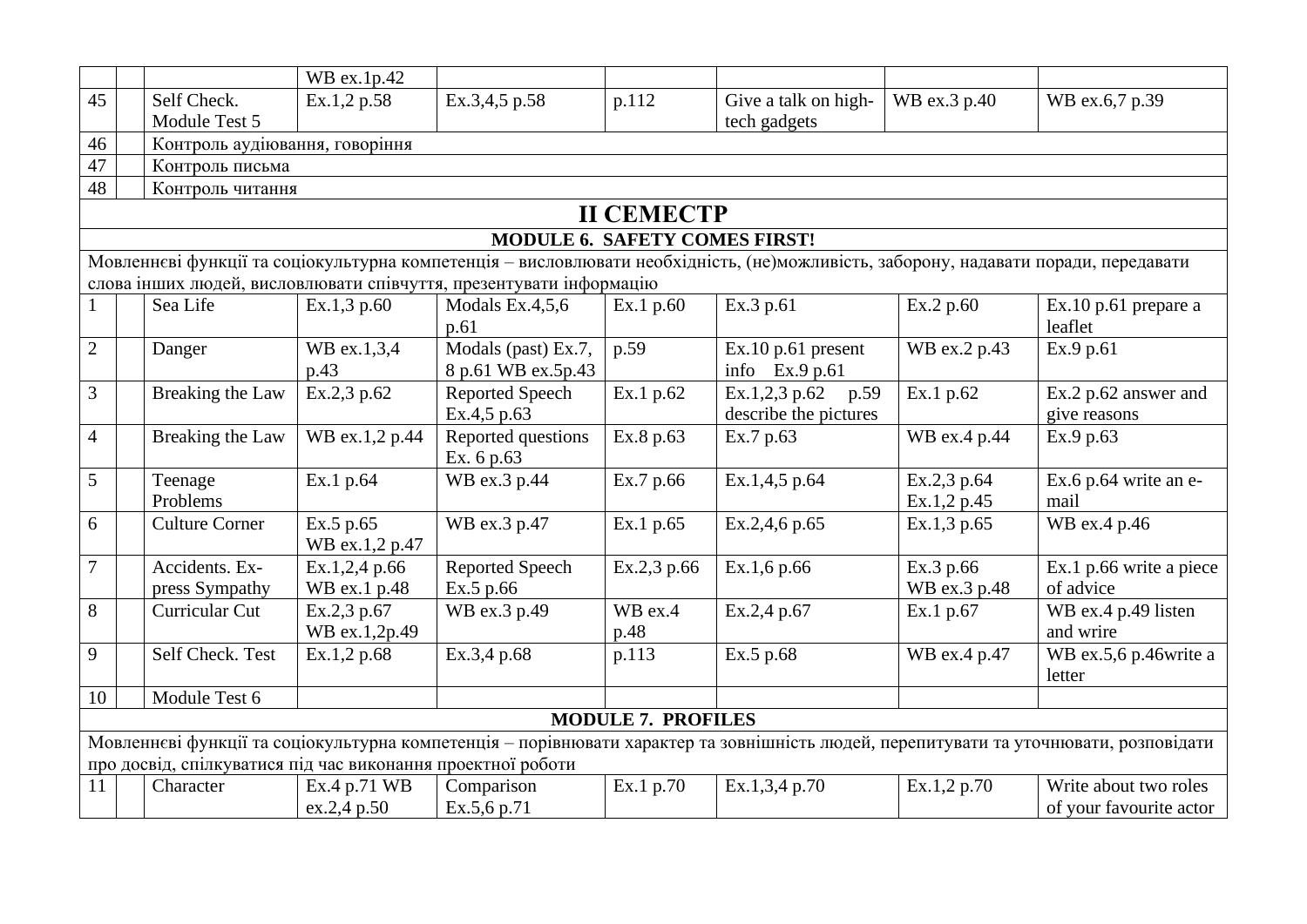|                |                                      |                                                             | WB ex.1p.42                   |                                                                    |                           |                                                                                                                                     |                            |                                                                                                                                       |  |  |  |  |
|----------------|--------------------------------------|-------------------------------------------------------------|-------------------------------|--------------------------------------------------------------------|---------------------------|-------------------------------------------------------------------------------------------------------------------------------------|----------------------------|---------------------------------------------------------------------------------------------------------------------------------------|--|--|--|--|
| 45             |                                      | Self Check.                                                 | Ex.1,2 p.58                   | Ex.3,4,5 p.58                                                      | p.112                     | Give a talk on high-                                                                                                                | WB ex.3 p.40               | WB ex.6,7 p.39                                                                                                                        |  |  |  |  |
|                |                                      | Module Test 5                                               |                               |                                                                    |                           | tech gadgets                                                                                                                        |                            |                                                                                                                                       |  |  |  |  |
| 46             |                                      | Контроль аудіювання, говоріння                              |                               |                                                                    |                           |                                                                                                                                     |                            |                                                                                                                                       |  |  |  |  |
| 47             | Контроль письма                      |                                                             |                               |                                                                    |                           |                                                                                                                                     |                            |                                                                                                                                       |  |  |  |  |
|                | 48<br>Контроль читання               |                                                             |                               |                                                                    |                           |                                                                                                                                     |                            |                                                                                                                                       |  |  |  |  |
|                | <b>II CEMECTP</b>                    |                                                             |                               |                                                                    |                           |                                                                                                                                     |                            |                                                                                                                                       |  |  |  |  |
|                | <b>MODULE 6. SAFETY COMES FIRST!</b> |                                                             |                               |                                                                    |                           |                                                                                                                                     |                            |                                                                                                                                       |  |  |  |  |
|                |                                      |                                                             |                               |                                                                    |                           | Мовленнєві функції та соціокультурна компетенція - висловлювати необхідність, (не)можливість, заборону, надавати поради, передавати |                            |                                                                                                                                       |  |  |  |  |
|                |                                      |                                                             |                               | слова інших людей, висловлювати співчуття, презентувати інформацію |                           |                                                                                                                                     |                            |                                                                                                                                       |  |  |  |  |
|                |                                      | Sea Life                                                    | Ex.1,3 p.60                   | Modals Ex. $4,5,6$                                                 | Ex.1 p.60                 | Ex.3 p.61                                                                                                                           | Ex.2 p.60                  | $Ex.10 p.61$ prepare a                                                                                                                |  |  |  |  |
|                |                                      |                                                             |                               | p.61                                                               |                           |                                                                                                                                     |                            | leaflet                                                                                                                               |  |  |  |  |
| $\overline{2}$ |                                      | Danger                                                      | WB ex.1,3,4<br>p.43           | Modals (past) Ex.7,<br>8 p.61 WB ex.5p.43                          | p.59                      | Ex.10 p.61 present<br>info Ex.9 p.61                                                                                                | WB ex.2 p.43               | Ex.9 p.61                                                                                                                             |  |  |  |  |
| $\overline{3}$ |                                      | Breaking the Law                                            | Ex.2,3 p.62                   | Reported Speech                                                    | Ex.1 p.62                 | Ex.1,2,3 p.62<br>p.59                                                                                                               | Ex.1 p.62                  | Ex.2 p.62 answer and                                                                                                                  |  |  |  |  |
|                |                                      |                                                             |                               | Ex.4,5 p.63                                                        |                           | describe the pictures                                                                                                               |                            | give reasons                                                                                                                          |  |  |  |  |
| $\overline{4}$ |                                      | Breaking the Law                                            | WB ex.1,2 p.44                | Reported questions<br>Ex. 6 p.63                                   | Ex.8 p.63                 | Ex.7 p.63                                                                                                                           | WB ex.4 p.44               | Ex.9 p.63                                                                                                                             |  |  |  |  |
| 5              |                                      | Teenage<br>Problems                                         | Ex.1 p.64                     | WB ex.3 p.44                                                       | Ex.7 p.66                 | Ex.1,4,5 p.64                                                                                                                       | Ex.2,3 p.64<br>Ex.1,2 p.45 | Ex.6 p.64 write an e-<br>mail                                                                                                         |  |  |  |  |
| 6              |                                      | <b>Culture Corner</b>                                       | Ex.5 p.65<br>WB ex.1,2 p.47   | WB ex.3 p.47                                                       | Ex.1 p.65                 | Ex.2,4,6 p.65                                                                                                                       | Ex.1,3 p.65                | WB ex.4 p.46                                                                                                                          |  |  |  |  |
| $\overline{7}$ |                                      | Accidents. Ex-<br>press Sympathy                            | Ex.1,2,4 p.66<br>WB ex.1 p.48 | Reported Speech<br>Ex.5 p.66                                       | Ex.2,3 p.66               | Ex.1,6 p.66                                                                                                                         | Ex.3 p.66<br>WB ex.3 p.48  | Ex.1 p.66 write a piece<br>of advice                                                                                                  |  |  |  |  |
| 8              |                                      | Curricular Cut                                              | Ex.2,3 p.67                   | WB ex.3 p.49                                                       | WB ex.4                   | Ex.2,4 p.67                                                                                                                         | Ex.1 p.67                  | WB ex.4 p.49 listen                                                                                                                   |  |  |  |  |
|                |                                      |                                                             | WB ex.1,2p.49                 |                                                                    | p.48                      |                                                                                                                                     |                            | and wrire                                                                                                                             |  |  |  |  |
| 9              |                                      | Self Check. Test                                            | Ex.1,2 p.68                   | Ex.3,4 p.68                                                        | p.113                     | Ex.5 p.68                                                                                                                           | WB ex.4 p.47               | WB ex.5,6 p.46write a                                                                                                                 |  |  |  |  |
|                |                                      |                                                             |                               |                                                                    |                           |                                                                                                                                     |                            | letter                                                                                                                                |  |  |  |  |
| 10             |                                      | Module Test 6                                               |                               |                                                                    |                           |                                                                                                                                     |                            |                                                                                                                                       |  |  |  |  |
|                |                                      |                                                             |                               |                                                                    | <b>MODULE 7. PROFILES</b> |                                                                                                                                     |                            |                                                                                                                                       |  |  |  |  |
|                |                                      | про досвід, спілкуватися під час виконання проектної роботи |                               |                                                                    |                           |                                                                                                                                     |                            | Мовленнєві функції та соціокультурна компетенція - порівнювати характер та зовнішність людей, перепитувати та уточнювати, розповідати |  |  |  |  |
| 11             |                                      | Character                                                   | Ex.4 p.71 WB                  | Comparison                                                         | Ex.1 p.70                 | Ex.1,3,4 p.70                                                                                                                       | Ex.1,2 p.70                | Write about two roles                                                                                                                 |  |  |  |  |
|                |                                      |                                                             | ex.2,4 p.50                   | Ex.5,6 p.71                                                        |                           |                                                                                                                                     |                            | of your favourite actor                                                                                                               |  |  |  |  |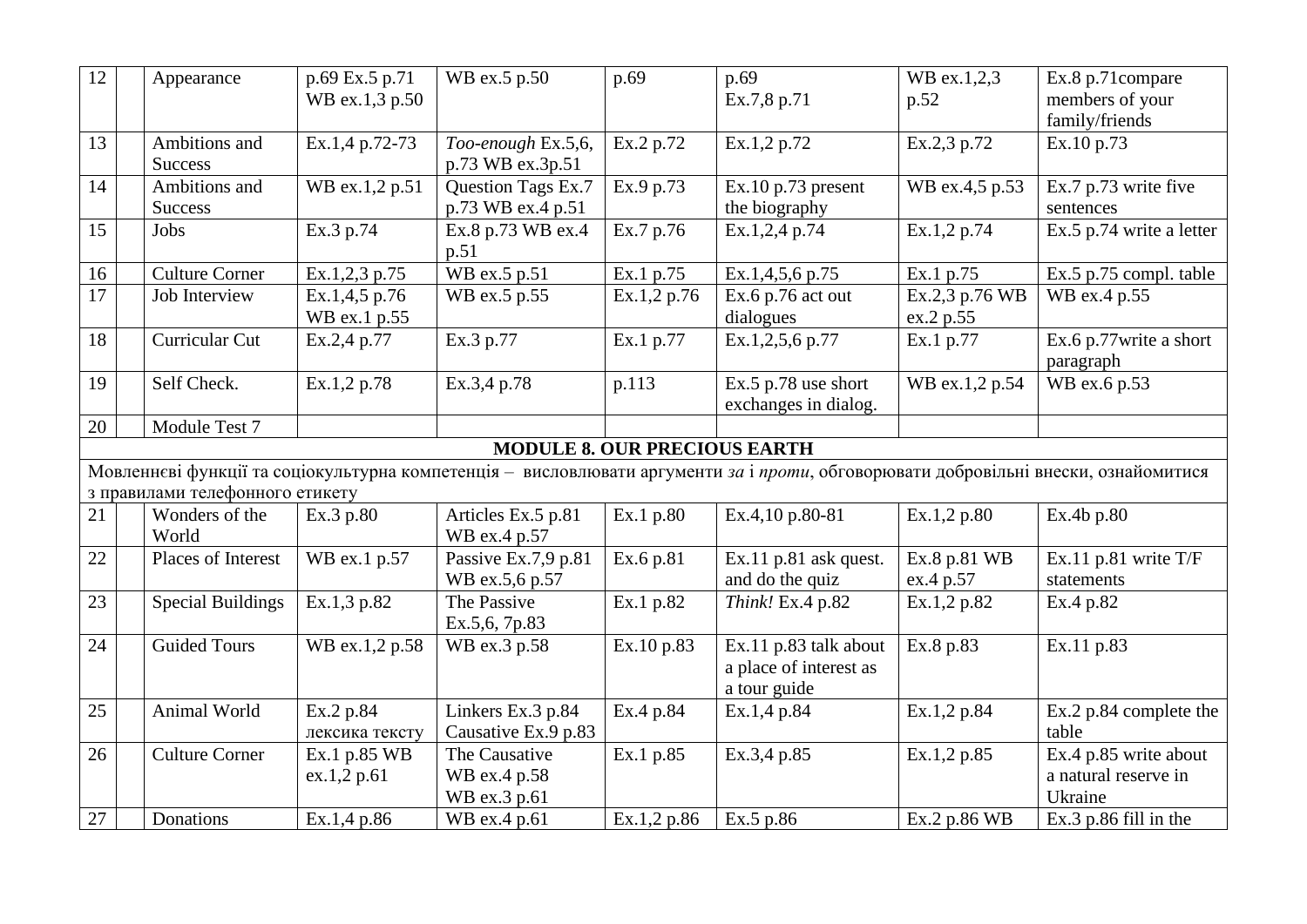| 12              | Appearance                      | p.69 Ex.5 p.71 | WB ex.5 p.50                        | p.69        | p.69                                                                                                                                | WB ex.1,2,3    | Ex.8 p.71compare         |
|-----------------|---------------------------------|----------------|-------------------------------------|-------------|-------------------------------------------------------------------------------------------------------------------------------------|----------------|--------------------------|
|                 |                                 | WB ex.1,3 p.50 |                                     |             | Ex.7,8 p.71                                                                                                                         | p.52           | members of your          |
|                 |                                 |                |                                     |             |                                                                                                                                     |                | family/friends           |
| 13              | Ambitions and                   | Ex.1,4 p.72-73 | Too-enough Ex.5,6,                  | Ex.2 p.72   | Ex.1,2 p.72                                                                                                                         | Ex.2,3 p.72    | Ex.10 p.73               |
|                 | <b>Success</b>                  |                | p.73 WB ex.3p.51                    |             |                                                                                                                                     |                |                          |
| 14              | Ambitions and                   | WB ex.1,2 p.51 | Question Tags Ex.7                  | Ex.9 p.73   | Ex.10 p.73 present                                                                                                                  | WB ex.4,5 p.53 | Ex.7 p.73 write five     |
|                 | <b>Success</b>                  |                | p.73 WB ex.4 p.51                   |             | the biography                                                                                                                       |                | sentences                |
| 15              | Jobs                            | Ex.3 p.74      | Ex.8 p.73 WB ex.4                   | Ex.7 p.76   | Ex.1,2,4 p.74                                                                                                                       | Ex.1,2 p.74    | Ex.5 p.74 write a letter |
|                 |                                 |                | p.51                                |             |                                                                                                                                     |                |                          |
| 16              | <b>Culture Corner</b>           | Ex.1,2,3 p.75  | WB ex.5 p.51                        | Ex.1 p.75   | Ex.1,4,5,6 p.75                                                                                                                     | Ex.1 p.75      | Ex.5 p.75 compl. table   |
| $\overline{17}$ | Job Interview                   | Ex.1,4,5 p.76  | WB ex.5 p.55                        | Ex.1,2 p.76 | Ex.6 $p.76$ act out                                                                                                                 | Ex.2,3 p.76 WB | WB ex.4 p.55             |
|                 |                                 | WB ex.1 p.55   |                                     |             | dialogues                                                                                                                           | ex.2 p.55      |                          |
| 18              | Curricular Cut                  | Ex.2,4 p.77    | Ex.3 p.77                           | Ex.1 p.77   | Ex.1,2,5,6 p.77                                                                                                                     | Ex.1 p.77      | Ex.6 p.77 write a short  |
|                 |                                 |                |                                     |             |                                                                                                                                     |                | paragraph                |
| 19              | Self Check.                     | Ex.1,2 p.78    | Ex.3,4 p.78                         | p.113       | Ex.5 $p.78$ use short                                                                                                               | WB ex.1,2 p.54 | WB ex.6 p.53             |
|                 |                                 |                |                                     |             | exchanges in dialog.                                                                                                                |                |                          |
| 20              | Module Test 7                   |                |                                     |             |                                                                                                                                     |                |                          |
|                 |                                 |                | <b>MODULE 8. OUR PRECIOUS EARTH</b> |             |                                                                                                                                     |                |                          |
|                 |                                 |                |                                     |             | Мовленнєві функції та соціокультурна компетенція - висловлювати аргументи за і проти, обговорювати добровільні внески, ознайомитися |                |                          |
|                 | з правилами телефонного етикету |                |                                     |             |                                                                                                                                     |                |                          |
| 21              | Wonders of the                  | Ex.3 p.80      | Articles Ex.5 p.81                  | Ex.1 p.80   | Ex.4,10 p.80-81                                                                                                                     | Ex.1,2 p.80    | Ex.4b p.80               |
|                 | World                           |                | WB ex.4 p.57                        |             |                                                                                                                                     |                |                          |
| 22              | Places of Interest              | WB ex.1 p.57   | Passive Ex.7,9 p.81                 | Ex.6 p.81   | Ex.11 p.81 ask quest.                                                                                                               | Ex.8 p.81 WB   | Ex.11 p.81 write $T/F$   |
|                 |                                 |                | WB ex.5,6 p.57                      |             | and do the quiz                                                                                                                     | ex.4 p.57      | statements               |
| 23              | <b>Special Buildings</b>        | Ex.1,3 p.82    | The Passive                         | Ex.1 p.82   | Think! Ex.4 p.82                                                                                                                    | Ex.1,2 p.82    | Ex.4 p.82                |
|                 |                                 |                | Ex.5,6, 7p.83                       |             |                                                                                                                                     |                |                          |
| 24              | <b>Guided Tours</b>             | WB ex.1,2 p.58 | WB ex.3 p.58                        | Ex.10 p.83  | Ex.11 p.83 talk about                                                                                                               | Ex.8 p.83      | Ex.11 p.83               |
|                 |                                 |                |                                     |             | a place of interest as                                                                                                              |                |                          |
|                 |                                 |                |                                     |             | a tour guide                                                                                                                        |                |                          |
| 25              | Animal World                    | Ex.2 p.84      | Linkers Ex.3 p.84                   | Ex.4 p.84   | Ex.1,4 p.84                                                                                                                         | Ex.1,2 p.84    | Ex.2 p.84 complete the   |
|                 |                                 | лексика тексту | Causative Ex.9 p.83                 |             |                                                                                                                                     |                | table                    |
| 26              | Culture Corner                  | Ex.1 p.85 WB   | The Causative                       | Ex.1 p.85   | Ex.3,4 p.85                                                                                                                         | Ex.1,2 p.85    | Ex.4 p.85 write about    |
|                 |                                 | ex.1,2 p.61    | WB ex.4 p.58                        |             |                                                                                                                                     |                | a natural reserve in     |
|                 |                                 |                | WB ex.3 p.61                        |             |                                                                                                                                     |                | Ukraine                  |
| 27              | Donations                       | Ex.1,4 p.86    | WB ex.4 p.61                        | Ex.1,2 p.86 | Ex.5 p.86                                                                                                                           | Ex.2 p.86 WB   | Ex.3 p.86 fill in the    |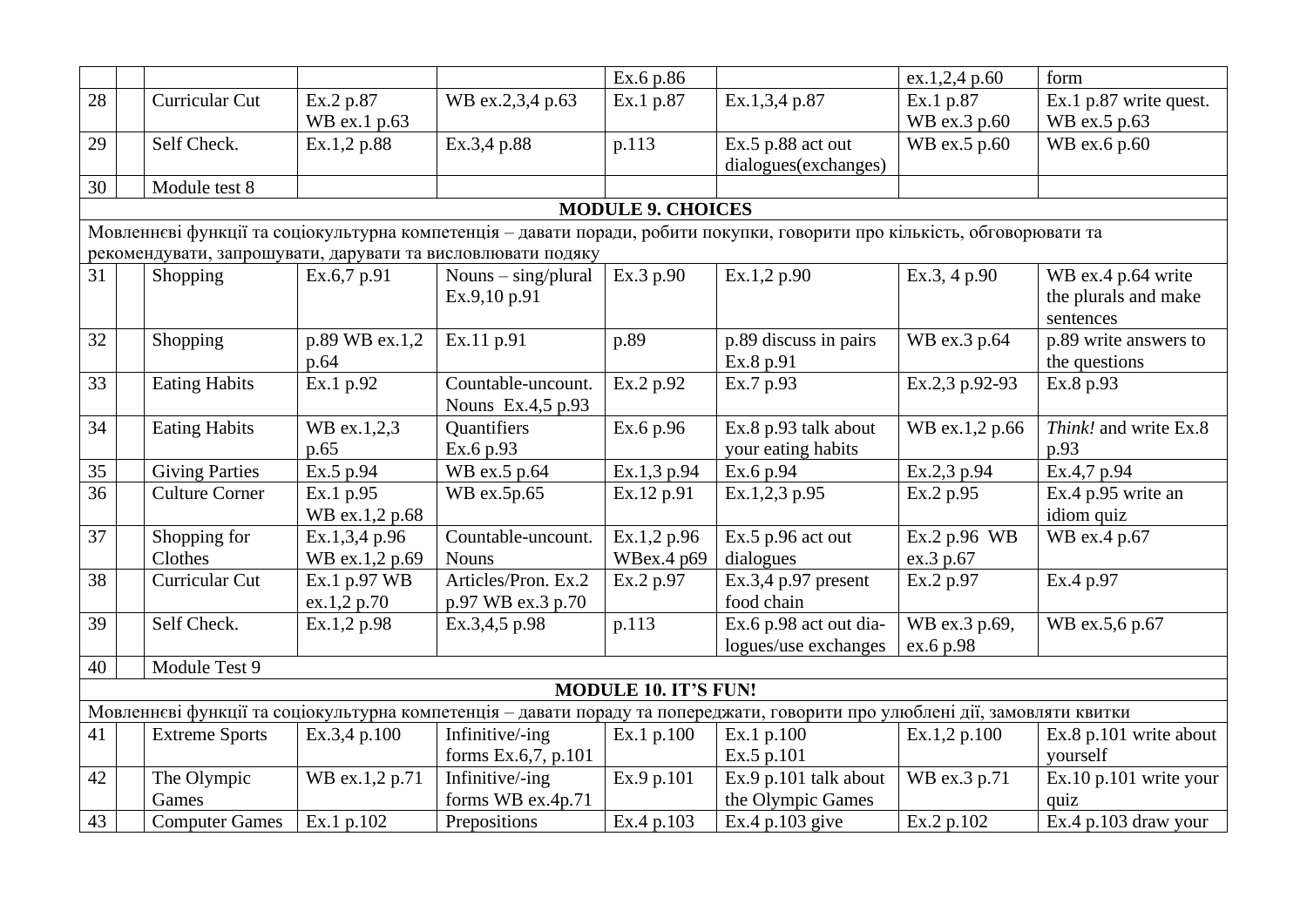|    |                                                                                                                           |                |                                                             | Ex.6 p.86                |                                                                                                                              | ex.1,2,4 p.60  | form                     |  |  |  |  |
|----|---------------------------------------------------------------------------------------------------------------------------|----------------|-------------------------------------------------------------|--------------------------|------------------------------------------------------------------------------------------------------------------------------|----------------|--------------------------|--|--|--|--|
| 28 | Curricular Cut                                                                                                            | Ex.2 p.87      | WB ex.2,3,4 p.63                                            | Ex.1 p.87                | Ex.1,3,4 p.87                                                                                                                | Ex.1 p.87      | Ex.1 p.87 write quest.   |  |  |  |  |
|    |                                                                                                                           | WB ex.1 p.63   |                                                             |                          |                                                                                                                              | WB ex.3 p.60   | WB ex.5 p.63             |  |  |  |  |
| 29 | Self Check.                                                                                                               | Ex.1,2 p.88    | Ex.3,4 p.88                                                 | p.113                    | $Ex.5$ p.88 act out                                                                                                          | WB ex.5 p.60   | WB ex.6 p.60             |  |  |  |  |
|    |                                                                                                                           |                |                                                             |                          | dialogues(exchanges)                                                                                                         |                |                          |  |  |  |  |
| 30 | Module test 8                                                                                                             |                |                                                             |                          |                                                                                                                              |                |                          |  |  |  |  |
|    |                                                                                                                           |                |                                                             | <b>MODULE 9. CHOICES</b> |                                                                                                                              |                |                          |  |  |  |  |
|    | Мовленнєві функції та соціокультурна компетенція - давати поради, робити покупки, говорити про кількість, обговорювати та |                |                                                             |                          |                                                                                                                              |                |                          |  |  |  |  |
|    |                                                                                                                           |                | рекомендувати, запрошувати, дарувати та висловлювати подяку |                          |                                                                                                                              |                |                          |  |  |  |  |
| 31 | Shopping                                                                                                                  | Ex.6,7 p.91    | Nouns $-\frac{\sin(\theta)}{\theta}$                        | Ex.3 p.90                | Ex.1,2 p.90                                                                                                                  | Ex.3, 4 p.90   | WB ex.4 p.64 write       |  |  |  |  |
|    |                                                                                                                           |                | Ex.9,10 p.91                                                |                          |                                                                                                                              |                | the plurals and make     |  |  |  |  |
|    |                                                                                                                           |                |                                                             |                          |                                                                                                                              |                | sentences                |  |  |  |  |
| 32 | Shopping                                                                                                                  | p.89 WB ex.1,2 | Ex.11 p.91                                                  | p.89                     | p.89 discuss in pairs                                                                                                        | WB ex.3 p.64   | p.89 write answers to    |  |  |  |  |
|    |                                                                                                                           | p.64           |                                                             |                          | Ex.8 p.91                                                                                                                    |                | the questions            |  |  |  |  |
| 33 | <b>Eating Habits</b>                                                                                                      | Ex.1 p.92      | Countable-uncount.                                          | Ex.2 p.92                | Ex.7 p.93                                                                                                                    | Ex.2,3 p.92-93 | Ex.8 p.93                |  |  |  |  |
|    |                                                                                                                           |                | Nouns Ex.4,5 p.93                                           |                          |                                                                                                                              |                |                          |  |  |  |  |
| 34 | <b>Eating Habits</b>                                                                                                      | WB ex.1,2,3    | Quantifiers                                                 | Ex.6 p.96                | Ex.8 p.93 talk about                                                                                                         | WB ex.1,2 p.66 | Think! and write Ex.8    |  |  |  |  |
|    |                                                                                                                           | p.65           | Ex.6 p.93                                                   |                          | your eating habits                                                                                                           |                | p.93                     |  |  |  |  |
| 35 | <b>Giving Parties</b>                                                                                                     | Ex.5 p.94      | WB ex.5 p.64                                                | Ex.1,3 p.94              | Ex.6 p.94                                                                                                                    | Ex.2,3 p.94    | Ex.4,7 p.94              |  |  |  |  |
| 36 | <b>Culture Corner</b>                                                                                                     | Ex.1 p.95      | WB ex.5p.65                                                 | Ex.12 p.91               | Ex.1,2,3 p.95                                                                                                                | Ex.2 p.95      | Ex.4 p.95 write an       |  |  |  |  |
|    |                                                                                                                           | WB ex.1,2 p.68 |                                                             |                          |                                                                                                                              |                | idiom quiz               |  |  |  |  |
| 37 | Shopping for                                                                                                              | Ex.1,3,4 p.96  | Countable-uncount.                                          | Ex.1,2 p.96              | $Ex.5$ p.96 act out                                                                                                          | Ex.2 p.96 WB   | WB ex.4 p.67             |  |  |  |  |
|    | Clothes                                                                                                                   | WB ex.1,2 p.69 | <b>Nouns</b>                                                | WBex.4 p69               | dialogues                                                                                                                    | ex.3 p.67      |                          |  |  |  |  |
| 38 | Curricular Cut                                                                                                            | Ex.1 p.97 WB   | Articles/Pron. Ex.2                                         | Ex.2 p.97                | Ex.3,4 p.97 present                                                                                                          | Ex.2 p.97      | Ex.4 p.97                |  |  |  |  |
|    |                                                                                                                           | ex.1,2 p.70    | p.97 WB ex.3 p.70                                           |                          | food chain                                                                                                                   |                |                          |  |  |  |  |
| 39 | Self Check.                                                                                                               | Ex.1,2 p.98    | Ex.3,4,5 p.98                                               | p.113                    | Ex.6 p.98 act out dia-                                                                                                       | WB ex.3 p.69,  | WB ex.5,6 p.67           |  |  |  |  |
|    |                                                                                                                           |                |                                                             |                          | logues/use exchanges                                                                                                         | ex.6 p.98      |                          |  |  |  |  |
| 40 | Module Test 9                                                                                                             |                |                                                             |                          |                                                                                                                              |                |                          |  |  |  |  |
|    | MODULE 10. IT'S FUN!                                                                                                      |                |                                                             |                          |                                                                                                                              |                |                          |  |  |  |  |
|    |                                                                                                                           |                |                                                             |                          | Мовленнєві функції та соціокультурна компетенція - давати пораду та попереджати, говорити про улюблені дії, замовляти квитки |                |                          |  |  |  |  |
| 41 | <b>Extreme Sports</b>                                                                                                     | Ex.3,4 p.100   | Infinitive/-ing                                             | Ex.1 p.100               | Ex.1 p.100                                                                                                                   | Ex.1,2 p.100   | Ex.8 p.101 write about   |  |  |  |  |
|    |                                                                                                                           |                | forms Ex.6,7, p.101                                         |                          | Ex.5 p.101                                                                                                                   |                | yourself                 |  |  |  |  |
| 42 | The Olympic                                                                                                               | WB ex.1,2 p.71 | Infinitive/-ing                                             | Ex.9 p.101               | Ex.9 p.101 talk about                                                                                                        | WB ex.3 p.71   | $Ex.10 p.101$ write your |  |  |  |  |
|    | Games                                                                                                                     |                | forms WB ex.4p.71                                           |                          | the Olympic Games                                                                                                            |                | quiz                     |  |  |  |  |
| 43 | <b>Computer Games</b>                                                                                                     | Ex.1 p.102     | Prepositions                                                | Ex.4 p.103               | Ex.4 p.103 give                                                                                                              | Ex.2 p.102     | $Ex.4$ p.103 draw your   |  |  |  |  |